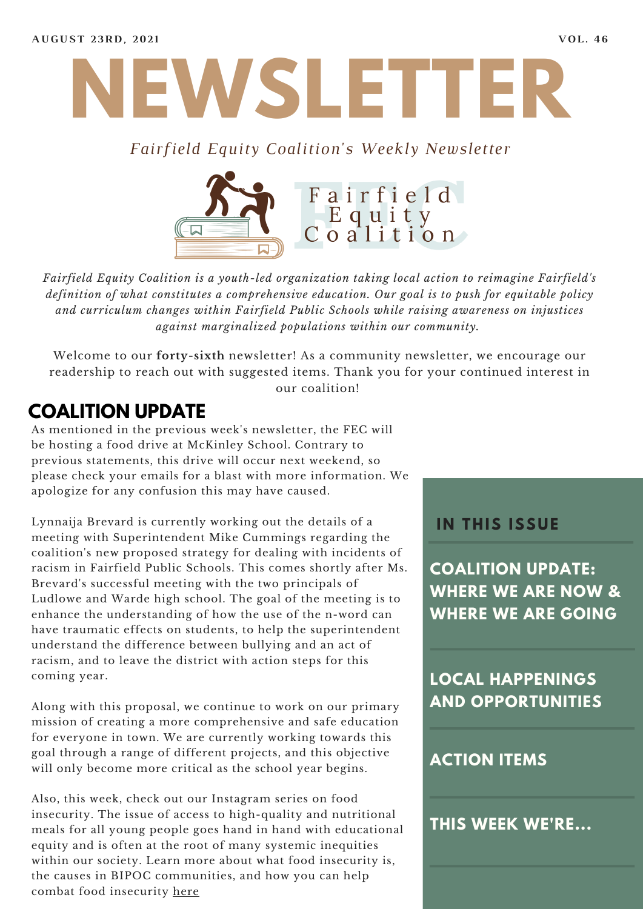

#### *Fairfield Equity Coalition's Weekly Newsletter*



*Fairfield Equity Coalition is a youth-led organization taking local action to reimagine Fairfield's definition of what constitutes a comprehensive education. Our goal is to push for equitable policy and curriculum changes within Fairfield Public Schools while raising awareness on injustices against marginalized populations within our community.*

Welcome to our **forty-sixth** newsletter! As a community newsletter, we encourage our readership to reach out with suggested items. Thank you for your continued interest in our coalition!

### **COALITION UPDATE**

As mentioned in the previous week's newsletter, the FEC will be hosting a food drive at McKinley School. Contrary to previous statements, this drive will occur next weekend, so please check your emails for a blast with more information. We apologize for any confusion this may have caused.

Lynnaija Brevard is currently working out the details of a meeting with Superintendent Mike Cummings regarding the coalition's new proposed strategy for dealing with incidents of racism in Fairfield Public Schools. This comes shortly after Ms. Brevard's successful meeting with the two principals of Ludlowe and Warde high school. The goal of the meeting is to enhance the understanding of how the use of the n-word can have traumatic effects on students, to help the superintendent understand the difference between bullying and an act of racism, and to leave the district with action steps for this coming year.

Along with this proposal, we continue to work on our primary mission of creating a more comprehensive and safe education for everyone in town. We are currently working towards this goal through a range of different projects, and this objective will only become more critical as the school year begins.

Also, this week, check out our Instagram series on food insecurity. The issue of access to high-quality and nutritional meals for all young people goes hand in hand with educational equity and is often at the root of many systemic inequities within our society. Learn more about what food insecurity is, the causes in BIPOC communities, and how you can help combat food insecurity [here](https://www.instagram.com/fairfieldequitycoalition/)

#### **I N THIS ISSUE**

**COALITION UPDATE: WHERE WE ARE NOW & WHERE WE ARE GOING**

**LOCAL HAPPENINGS AND OPPORTUNITIES**

#### **ACTION ITEMS**

**THIS WEEK WE'RE...**